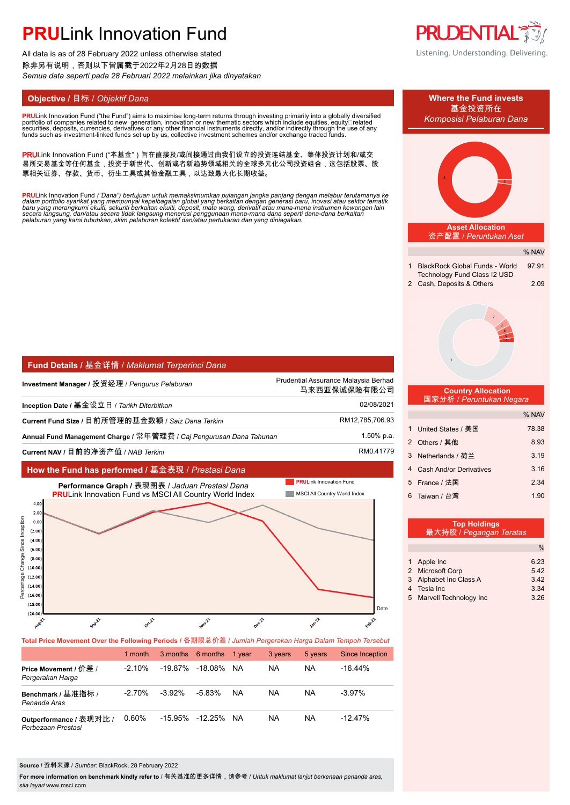# **PRU**Link Innovation Fund

All data is as of 28 February 2022 unless otherwise stated 除非另有说明,否则以下皆属截于2022年2月28日的数据 *Semua data seperti pada 28 Februari 2022 melainkan jika dinyatakan*

**PRULink Innovation Fund ("the Fund") aims to maximise long-term returns through investing primarily into a globally diversified** portfolio of companies related to new ´generation, innovation ̃or new thematic sectors which ̃include équities, ̄equitý⊡related<br>securities, deposits, currencies, derivatives or any other financial instruments directly, a

PRULink Innovation Fund ("本基金")旨在直接及/或间接通过由我们设立的投资连结基金、集体投资计划和/或交 易所交易基金等任何基金,投资于新世代、创新或者新趋势领域相关的全球多元化公司投资组合,这包括股票、股 票相关证券、存款、货币、衍生工具或其他金融工具,以达致最大化长期收益。

**PRU**Link Innovation Fund ("Dana") bertujuan untuk memaksimumkan pulangan jangka panjang dengan melabur terutamanya ke<br>dalam portfolio syarikat yang mempunyai kepelbagaian global yang berkaitan dengan generasi baru, inovas

| <b>Fund Details / 基金详情 / Maklumat Terperinci Dana</b>               |                                                      |  |  |  |  |
|---------------------------------------------------------------------|------------------------------------------------------|--|--|--|--|
| Investment Manager / 投资经理 / Pengurus Pelaburan                      | Prudential Assurance Malaysia Berhad<br>马来西亚保诚保险有限公司 |  |  |  |  |
| Inception Date / 基金设立日 / Tarikh Diterbitkan                         | 02/08/2021                                           |  |  |  |  |
| Current Fund Size / 目前所管理的基金数额 / Saiz Dana Terkini                  | RM12,785,706.93                                      |  |  |  |  |
| Annual Fund Management Charge / 常年管理费 / Caj Pengurusan Dana Tahunan | 1.50% p.a.                                           |  |  |  |  |
| Current NAV / 日前的净资产值 / NAR Terkini                                 | RM0.41779                                            |  |  |  |  |

### **How the Fund has performed /** 基金表现 / *Prestasi Dana*



**Total Price Movement Over the Following Periods /** 各期限总价差 / *Jumlah Pergerakan Harga Dalam Tempoh Tersebut*

|                                               | 1 month   |           | 3 months 6 months 1 year |    | 3 years | 5 years | Since Inception |
|-----------------------------------------------|-----------|-----------|--------------------------|----|---------|---------|-----------------|
| Price Movement / 价差 /<br>Pergerakan Harga     | $-2.10\%$ |           | -19.87% -18.08% NA       |    | NA      | NA      | $-16.44\%$      |
| Benchmark / 基准指标 /<br>Penanda Aras            | $-2.70%$  | $-3.92\%$ | $-5.83\%$                | NA | NA      | NA      | $-3.97\%$       |
| Outperformance / 表现对比 /<br>Perbezaan Prestasi | 0.60%     |           | -15.95% -12.25%          | NA | NA      | NA      | $-12.47\%$      |

#### **Source /** 资料来源 / *Sumber*: BlackRock, 28 February 2022

**For more information on benchmark kindly refer to** / 有关基准的更多详情,请参考 / *Untuk maklumat lanjut berkenaan penanda aras, sila layari* www.msci.com





| 1 Apple Inc              | 6.23 |
|--------------------------|------|
| 2 Microsoft Corp         | 5.42 |
| 3 Alphabet Inc Class A   | 3.42 |
| 4 Tesla Inc              | 3.34 |
| 5 Marvell Technology Inc | 3.26 |
|                          |      |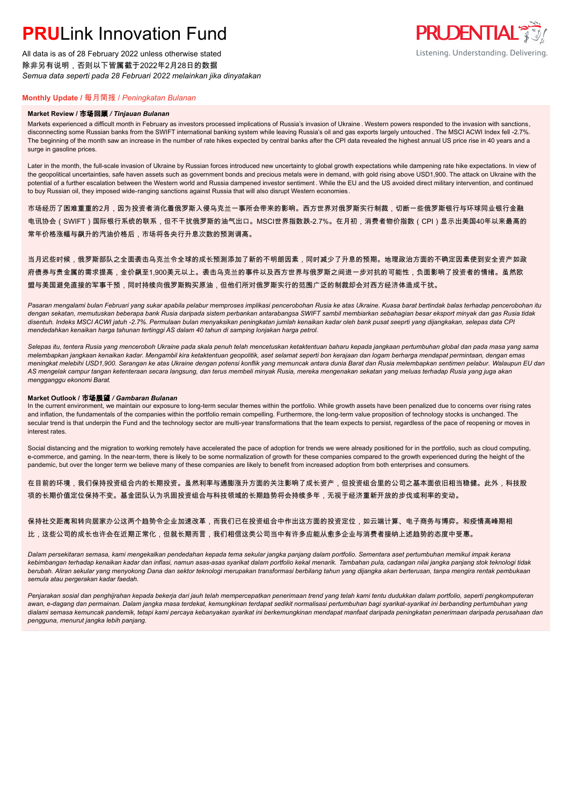## **PRU**Link Innovation Fund

All data is as of 28 February 2022 unless otherwise stated 除非另有说明,否则以下皆属截于2022年2月28日的数据 *Semua data seperti pada 28 Februari 2022 melainkan jika dinyatakan*



### **Monthly Update /** 每月简报 / *Peningkatan Bulanan*

#### **Market Review /** 市场回顾 */ Tinjauan Bulanan*

Markets experienced a difficult month in February as investors processed implications of Russia's invasion of Ukraine . Western powers responded to the invasion with sanctions, disconnecting some Russian banks from the SWIFT international banking system while leaving Russia's oil and gas exports largely untouched . The MSCI ACWI Index fell -2.7%. The beginning of the month saw an increase in the number of rate hikes expected by central banks after the CPI data revealed the highest annual US price rise in 40 years and a surge in gasoline prices.

Later in the month, the full-scale invasion of Ukraine by Russian forces introduced new uncertainty to global growth expectations while dampening rate hike expectations. In view of the geopolitical uncertainties, safe haven assets such as government bonds and precious metals were in demand, with gold rising above USD1,900. The attack on Ukraine with the potential of a further escalation between the Western world and Russia dampened investor sentiment . While the EU and the US avoided direct military intervention, and continued to buy Russian oil, they imposed wide-ranging sanctions against Russia that will also disrupt Western economies.

市场经历了困难重重的2月,因为投资者消化着俄罗斯入侵乌克兰一事所会带来的影响。西方世界对俄罗斯实行制裁,切断一些俄罗斯银行与环球同业银行金融 电讯协会(SWIFT)国际银行系统的联系,但不干扰俄罗斯的油气出口。MSCI世界指数跌-2.7%。在月初,消费者物价指数(CPI)显示出美国40年以来最高的 常年价格涨幅与飙升的汽油价格后,市场将各央行升息次数的预测调高。

当月迟些时候,俄罗斯部队之全面袭击乌克兰令全球的成长预测添加了新的不明朗因素,同时减少了升息的预期。地理政治方面的不确定因素使到安全资产如政 府债券与贵金属的需求提高,金价飙至1,900美元以上。袭击乌克兰的事件以及西方世界与俄罗斯之间进一步对抗的可能性,负面影响了投资者的情绪。虽然欧 盟与美国避免直接的军事干预,同时持续向俄罗斯购买原油,但他们所对俄罗斯实行的范围广泛的制裁却会对西方经济体造成干扰。

*Pasaran mengalami bulan Februari yang sukar apabila pelabur memproses implikasi pencerobohan Rusia ke atas Ukraine. Kuasa barat bertindak balas terhadap pencerobohan itu dengan sekatan, memutuskan beberapa bank Rusia daripada sistem perbankan antarabangsa SWIFT sambil membiarkan sebahagian besar eksport minyak dan gas Rusia tidak disentuh. Indeks MSCI ACWI jatuh -2.7%. Permulaan bulan menyaksikan peningkatan jumlah kenaikan kadar oleh bank pusat seeprti yang dijangkakan, selepas data CPI mendedahkan kenaikan harga tahunan tertinggi AS dalam 40 tahun di samping lonjakan harga petrol.*

*Selepas itu, tentera Rusia yang menceroboh Ukraine pada skala penuh telah mencetuskan ketaktentuan baharu kepada jangkaan pertumbuhan global dan pada masa yang sama melembapkan jangkaan kenaikan kadar. Mengambil kira ketaktentuan geopolitik, aset selamat seperti bon kerajaan dan logam berharga mendapat permintaan, dengan emas meningkat melebihi USD1,900. Serangan ke atas Ukraine dengan potensi konflik yang memuncak antara dunia Barat dan Rusia melembapkan sentimen pelabur. Walaupun EU dan AS mengelak campur tangan ketenteraan secara langsung, dan terus membeli minyak Rusia, mereka mengenakan sekatan yang meluas terhadap Rusia yang juga akan mengganggu ekonomi Barat.*

#### **Market Outlook /** 市场展望 */ Gambaran Bulanan*

In the current environment, we maintain our exposure to long-term secular themes within the portfolio. While growth assets have been penalized due to concerns over rising rates and inflation, the fundamentals of the companies within the portfolio remain compelling. Furthermore, the long-term value proposition of technology stocks is unchanged. The secular trend is that underpin the Fund and the technology sector are multi-year transformations that the team expects to persist, regardless of the pace of reopening or moves in interest rates.

Social distancing and the migration to working remotely have accelerated the pace of adoption for trends we were already positioned for in the portfolio, such as cloud computing, e-commerce, and gaming. In the near-term, there is likely to be some normalization of growth for these companies compared to the growth experienced during the height of the pandemic, but over the longer term we believe many of these companies are likely to benefit from increased adoption from both enterprises and consumers.

在目前的环境,我们保持投资组合内的长期投资。虽然利率与通膨涨升方面的关注影响了成长资产,但投资组合里的公司之基本面依旧相当稳健。此外,科技股 项的长期价值定位保持不变。基金团队认为巩固投资组合与科技领域的长期趋势将会持续多年,无视于经济重新开放的步伐或利率的变动。

保持社交距离和转向居家办公这两个趋势令企业加速改革,而我们已在投资组合中作出这方面的投资定位,如云端计算、电子商务与博弈。和疫情高峰期相 比,这些公司的成长也许会在近期正常化,但就长期而言,我们相信这类公司当中有许多应能从愈多企业与消费者接纳上述趋势的态度中受惠。

*Dalam persekitaran semasa, kami mengekalkan pendedahan kepada tema sekular jangka panjang dalam portfolio. Sementara aset pertumbuhan memikul impak kerana kebimbangan terhadap kenaikan kadar dan inflasi, namun asas-asas syarikat dalam portfolio kekal menarik. Tambahan pula, cadangan nilai jangka panjang stok teknologi tidak berubah. Aliran sekular yang menyokong Dana dan sektor teknologi merupakan transformasi berbilang tahun yang dijangka akan berterusan, tanpa mengira rentak pembukaan semula atau pergerakan kadar faedah.*

Penjarakan sosial dan penghijrahan kepada bekerja dari jauh telah mempercepatkan penerimaan trend yang telah kami tentu dudukkan dalam portfolio, seperti pengkomputeran *awan, e-dagang dan permainan. Dalam jangka masa terdekat, kemungkinan terdapat sedikit normalisasi pertumbuhan bagi syarikat-syarikat ini berbanding pertumbuhan yang*  dialami semasa kemuncak pandemik, tetapi kami percaya kebanyakan syarikat ini berkemungkinan mendapat manfaat daripada peningkatan penerimaan daripada perusahaan dan *pengguna, menurut jangka lebih panjang.*